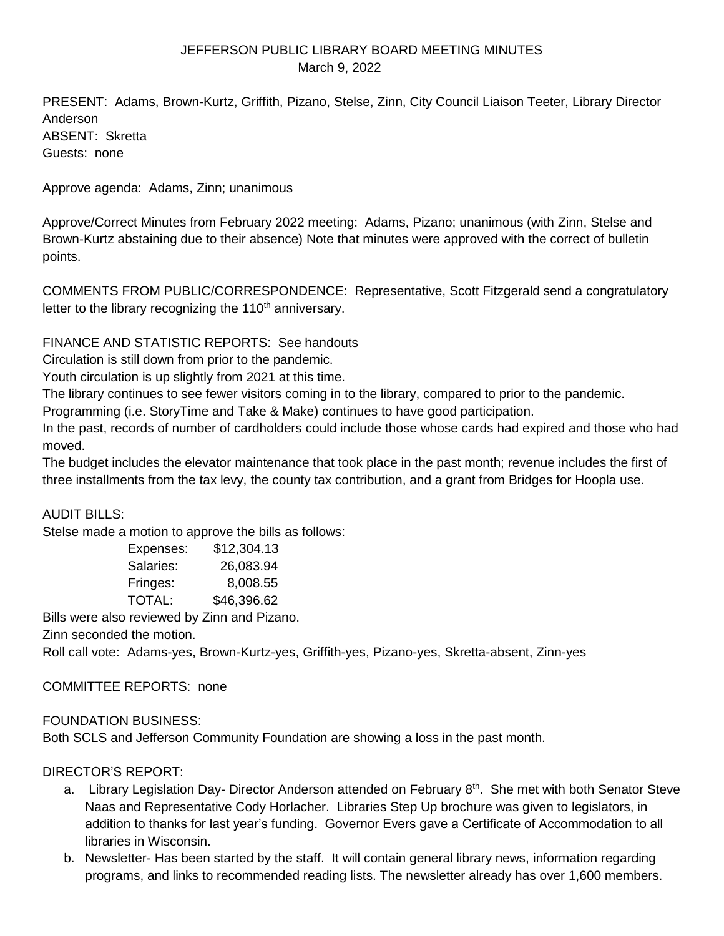# JEFFERSON PUBLIC LIBRARY BOARD MEETING MINUTES March 9, 2022

PRESENT: Adams, Brown-Kurtz, Griffith, Pizano, Stelse, Zinn, City Council Liaison Teeter, Library Director Anderson ABSENT: Skretta Guests: none

Approve agenda: Adams, Zinn; unanimous

Approve/Correct Minutes from February 2022 meeting: Adams, Pizano; unanimous (with Zinn, Stelse and Brown-Kurtz abstaining due to their absence) Note that minutes were approved with the correct of bulletin points.

COMMENTS FROM PUBLIC/CORRESPONDENCE: Representative, Scott Fitzgerald send a congratulatory letter to the library recognizing the  $110<sup>th</sup>$  anniversary.

FINANCE AND STATISTIC REPORTS: See handouts

Circulation is still down from prior to the pandemic.

Youth circulation is up slightly from 2021 at this time.

The library continues to see fewer visitors coming in to the library, compared to prior to the pandemic.

Programming (i.e. StoryTime and Take & Make) continues to have good participation.

In the past, records of number of cardholders could include those whose cards had expired and those who had moved.

The budget includes the elevator maintenance that took place in the past month; revenue includes the first of three installments from the tax levy, the county tax contribution, and a grant from Bridges for Hoopla use.

# AUDIT BILLS:

Stelse made a motion to approve the bills as follows:

| Expenses: | \$12,304.13 |
|-----------|-------------|
| Salaries: | 26,083.94   |
| Fringes:  | 8,008.55    |
| TOTAL:    | \$46,396.62 |

Bills were also reviewed by Zinn and Pizano.

Zinn seconded the motion.

Roll call vote: Adams-yes, Brown-Kurtz-yes, Griffith-yes, Pizano-yes, Skretta-absent, Zinn-yes

# COMMITTEE REPORTS: none

# FOUNDATION BUSINESS:

Both SCLS and Jefferson Community Foundation are showing a loss in the past month.

# DIRECTOR'S REPORT:

- a. Library Legislation Day- Director Anderson attended on February 8<sup>th</sup>. She met with both Senator Steve Naas and Representative Cody Horlacher. Libraries Step Up brochure was given to legislators, in addition to thanks for last year's funding. Governor Evers gave a Certificate of Accommodation to all libraries in Wisconsin.
- b. Newsletter- Has been started by the staff. It will contain general library news, information regarding programs, and links to recommended reading lists. The newsletter already has over 1,600 members.